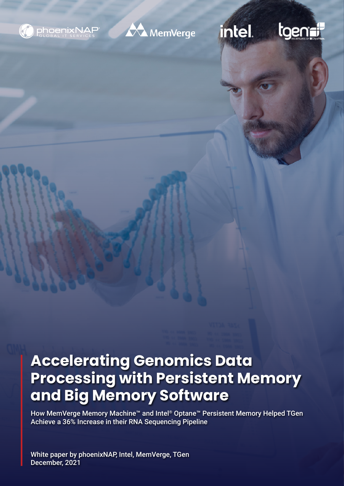



Accelerating Genomics Data Processing with Persistent Memory and Big Memory Software White Paper

# intel.

# tgenei

# **Accelerating Genomics Data Processing with Persistent Memory and Big Memory Software**

How MemVerge Memory Machine™ and Intel® Optane™ Persistent Memory Helped TGen Achieve a 36% Increase in their RNA Sequencing Pipeline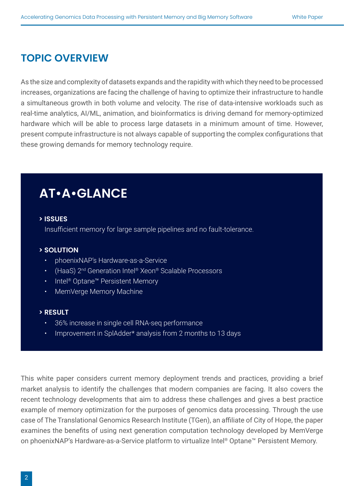## **TOPIC OVERVIEW**

As the size and complexity of datasets expands and the rapidity with which they need to be processed increases, organizations are facing the challenge of having to optimize their infrastructure to handle a simultaneous growth in both volume and velocity. The rise of data-intensive workloads such as real-time analytics, AI/ML, animation, and bioinformatics is driving demand for memory-optimized hardware which will be able to process large datasets in a minimum amount of time. However, present compute infrastructure is not always capable of supporting the complex configurations that these growing demands for memory technology require.

# **AT•A•GLANCE**

### **> ISSUES**

Insufficient memory for large sample pipelines and no fault-tolerance.

#### **> SOLUTION**

- phoenixNAP's Hardware-as-a-Service
- (HaaS) 2nd Generation Intel® Xeon® Scalable Processors
- Intel<sup>®</sup> Optane™ Persistent Memory
- MemVerge Memory Machine

#### **> RESULT**

- 36% increase in single cell RNA-seq performance
- Improvement in SplAdder\* analysis from 2 months to 13 days

This white paper considers current memory deployment trends and practices, providing a brief market analysis to identify the challenges that modern companies are facing. It also covers the recent technology developments that aim to address these challenges and gives a best practice example of memory optimization for the purposes of genomics data processing. Through the use case of The Translational Genomics Research Institute (TGen), an affiliate of City of Hope, the paper examines the benefits of using next generation computation technology developed by MemVerge on phoenixNAP's Hardware-as-a-Service platform to virtualize Intel® Optane™ Persistent Memory.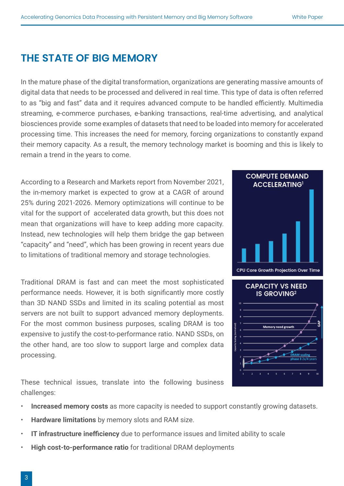## **THE STATE OF BIG MEMORY**

In the mature phase of the digital transformation, organizations are generating massive amounts of digital data that needs to be processed and delivered in real time. This type of data is often referred to as "big and fast" data and it requires advanced compute to be handled efficiently. Multimedia streaming, e-commerce purchases, e-banking transactions, real-time advertising, and analytical biosciences provide some examples of datasets that need to be loaded into memory for accelerated processing time. This increases the need for memory, forcing organizations to constantly expand their memory capacity. As a result, the memory technology market is booming and this is likely to remain a trend in the years to come.

According to a Research and Markets report from November 2021, the in-memory market is expected to grow at a CAGR of around 25% during 2021-2026. Memory optimizations will continue to be vital for the support of accelerated data growth, but this does not mean that organizations will have to keep adding more capacity. Instead, new technologies will help them bridge the gap between "capacity" and "need", which has been growing in recent years due to limitations of traditional memory and storage technologies.

Traditional DRAM is fast and can meet the most sophisticated performance needs. However, it is both significantly more costly than 3D NAND SSDs and limited in its scaling potential as most servers are not built to support advanced memory deployments. For the most common business purposes, scaling DRAM is too expensive to justify the cost-to-performance ratio. NAND SSDs, on the other hand, are too slow to support large and complex data processing.

These technical issues, translate into the following business challenges:

- **Increased memory costs** as more capacity is needed to support constantly growing datasets.
- **Hardware limitations** by memory slots and RAM size.
- **IT infrastructure inefficiency** due to performance issues and limited ability to scale
- **High cost-to-performance ratio** for traditional DRAM deployments

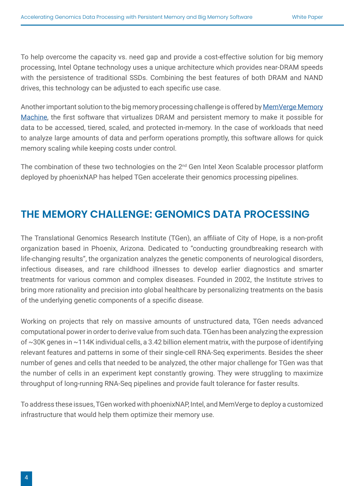To help overcome the capacity vs. need gap and provide a cost-effective solution for big memory processing, Intel Optane technology uses a unique architecture which provides near-DRAM speeds with the persistence of traditional SSDs. Combining the best features of both DRAM and NAND drives, this technology can be adjusted to each specific use case.

Another important solution to the big memory processing challenge is offered by [MemVerge Memory](https://memverge.com/memory-machine-data-sheet/) [Machine,](https://memverge.com/memory-machine-data-sheet/) the first software that virtualizes DRAM and persistent memory to make it possible for data to be accessed, tiered, scaled, and protected in-memory. In the case of workloads that need to analyze large amounts of data and perform operations promptly, this software allows for quick memory scaling while keeping costs under control.

The combination of these two technologies on the 2<sup>nd</sup> Gen Intel Xeon Scalable processor platform deployed by phoenixNAP has helped TGen accelerate their genomics processing pipelines.

### **THE MEMORY CHALLENGE: GENOMICS DATA PROCESSING**

The Translational Genomics Research Institute (TGen), an affiliate of City of Hope, is a non-profit organization based in Phoenix, Arizona. Dedicated to "conducting groundbreaking research with life-changing results", the organization analyzes the genetic components of neurological disorders, infectious diseases, and rare childhood illnesses to develop earlier diagnostics and smarter treatments for various common and complex diseases. Founded in 2002, the Institute strives to bring more rationality and precision into global healthcare by personalizing treatments on the basis of the underlying genetic components of a specific disease.

Working on projects that rely on massive amounts of unstructured data, TGen needs advanced computational power in order to derive value from such data. TGen has been analyzing the expression of ~30K genes in ~114K individual cells, a 3.42 billion element matrix, with the purpose of identifying relevant features and patterns in some of their single-cell RNA-Seq experiments. Besides the sheer number of genes and cells that needed to be analyzed, the other major challenge for TGen was that the number of cells in an experiment kept constantly growing. They were struggling to maximize throughput of long-running RNA-Seq pipelines and provide fault tolerance for faster results.

To address these issues, TGen worked with phoenixNAP, Intel, and MemVerge to deploy a customized infrastructure that would help them optimize their memory use.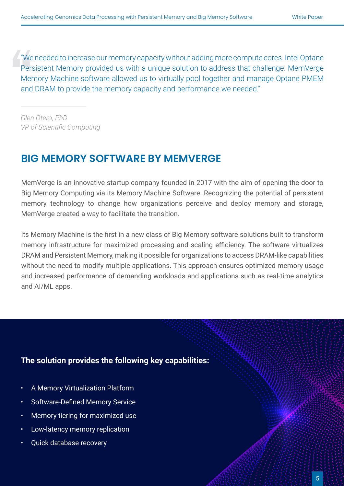"We needed to increase our memory capacity without adding more compute cores. Intel Optane Persistent Memory provided us with a unique solution to address that challenge. MemVerge Memory Machine software allowed us to virtually pool together and manage Optane PMEM and DRAM to provide the memory capacity and performance we needed."

*Glen Otero, PhD VP of Scientific Computing*

## **BIG MEMORY SOFTWARE BY MEMVERGE**

MemVerge is an innovative startup company founded in 2017 with the aim of opening the door to Big Memory Computing via its Memory Machine Software. Recognizing the potential of persistent memory technology to change how organizations perceive and deploy memory and storage, MemVerge created a way to facilitate the transition.

Its Memory Machine is the first in a new class of Big Memory software solutions built to transform memory infrastructure for maximized processing and scaling efficiency. The software virtualizes DRAM and Persistent Memory, making it possible for organizations to access DRAM-like capabilities without the need to modify multiple applications. This approach ensures optimized memory usage and increased performance of demanding workloads and applications such as real-time analytics and AI/ML apps.

### **The solution provides the following key capabilities:**

- A Memory Virtualization Platform
- Software-Defined Memory Service
- Memory tiering for maximized use
- Low-latency memory replication
- Quick database recovery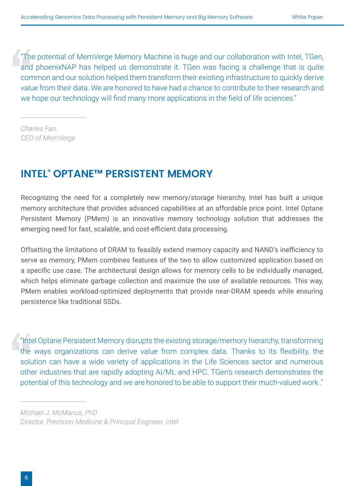"The potential of MemVerge Memory Machine is huge and our collaboration with Intel, TGen, and phoenixNAP has helped us demonstrate it. TGen was facing a challenge that is quite common and our solution helped them transform their existing infrastructure to quickly derive value from their data. We are honored to have had a chance to contribute to their research and we hope our technology will find many more applications in the field of life sciences."

*Charles Fan, CEO of MemVerge*

## **INTEL® OPTANE™ PERSISTENT MEMORY**

Recognizing the need for a completely new memory/storage hierarchy, Intel has built a unique memory architecture that provides advanced capabilities at an affordable price point. Intel Optane Persistent Memory (PMem) is an innovative memory technology solution that addresses the emerging need for fast, scalable, and cost-efficient data processing.

Offsetting the limitations of DRAM to feasibly extend memory capacity and NAND's inefficiency to serve as memory, PMem combines features of the two to allow customized application based on a specific use case. The architectural design allows for memory cells to be individually managed, which helps eliminate garbage collection and maximize the use of available resources. This way, PMem enables workload-optimized deployments that provide near-DRAM speeds while ensuring persistence like traditional SSDs.

"Intel Optane Persistent Memory disrupts the existing storage/memory hierarchy, transforming the ways organizations can derive value from complex data. Thanks to its flexibility, the solution can have a wide variety of applications in the Life Sciences sector and numerous other industries that are rapidly adopting AI/ML and HPC. TGen's research demonstrates the potential of this technology and we are honored to be able to support their much-valued work ."

*Michael J. McManus, PhD Director, Precision Medicine & Principal Engineer, Intel*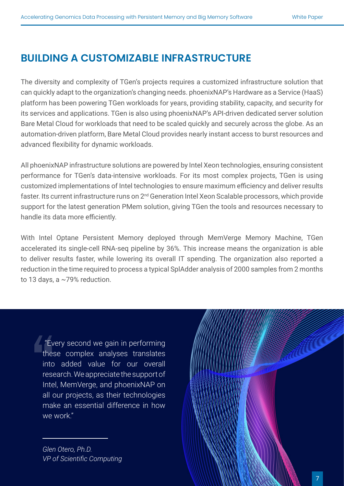## **BUILDING A CUSTOMIZABLE INFRASTRUCTURE**

The diversity and complexity of TGen's projects requires a customized infrastructure solution that can quickly adapt to the organization's changing needs. phoenixNAP's Hardware as a Service (HaaS) platform has been powering TGen workloads for years, providing stability, capacity, and security for its services and applications. TGen is also using phoenixNAP's API-driven dedicated server solution Bare Metal Cloud for workloads that need to be scaled quickly and securely across the globe. As an automation-driven platform, Bare Metal Cloud provides nearly instant access to burst resources and advanced flexibility for dynamic workloads.

All phoenixNAP infrastructure solutions are powered by Intel Xeon technologies, ensuring consistent performance for TGen's data-intensive workloads. For its most complex projects, TGen is using customized implementations of Intel technologies to ensure maximum efficiency and deliver results faster. Its current infrastructure runs on 2nd Generation Intel Xeon Scalable processors, which provide support for the latest generation PMem solution, giving TGen the tools and resources necessary to handle its data more efficiently.

With Intel Optane Persistent Memory deployed through MemVerge Memory Machine, TGen accelerated its single-cell RNA-seq pipeline by 36%. This increase means the organization is able to deliver results faster, while lowering its overall IT spending. The organization also reported a reduction in the time required to process a typical SplAdder analysis of 2000 samples from 2 months to 13 days, a ~79% reduction.

 "Every second we gain in performing these complex analyses translates into added value for our overall research. We appreciate the support of Intel, MemVerge, and phoenixNAP on all our projects, as their technologies make an essential difference in how we work."

*Glen Otero, Ph.D. VP of Scientific Computing*